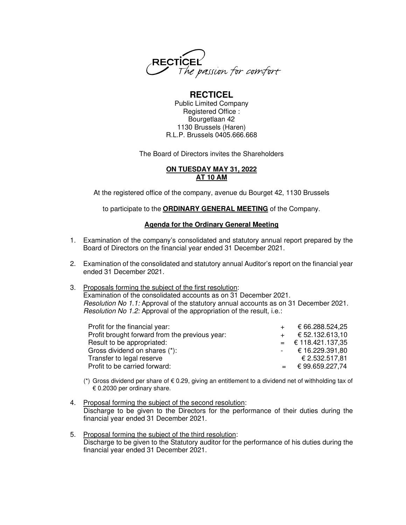

# **RECTICEL**

Public Limited Company Registered Office : Bourgetlaan 42 1130 Brussels (Haren) R.L.P. Brussels 0405.666.668

The Board of Directors invites the Shareholders

# **ON TUESDAY MAY 31, 2022 AT 10 AM**

At the registered office of the company, avenue du Bourget 42, 1130 Brussels

to participate to the **ORDINARY GENERAL MEETING** of the Company.

# **Agenda for the Ordinary General Meeting**

- 1. Examination of the company's consolidated and statutory annual report prepared by the Board of Directors on the financial year ended 31 December 2021.
- 2. Examination of the consolidated and statutory annual Auditor's report on the financial year ended 31 December 2021.
- 3. Proposals forming the subject of the first resolution:

Examination of the consolidated accounts as on 31 December 2021. Resolution No 1.1: Approval of the statutory annual accounts as on 31 December 2021. Resolution No 1.2: Approval of the appropriation of the result, i.e.:

| Profit for the financial year:                 | € 66.288.524,25      |
|------------------------------------------------|----------------------|
| Profit brought forward from the previous year: | € 52.132.613.10      |
| Result to be appropriated:                     | $=$ € 118.421.137,35 |
| Gross dividend on shares (*):                  | $-$ € 16.229.391,80  |
| Transfer to legal reserve                      | € 2.532.517,81       |
| Profit to be carried forward:                  | $=$ € 99.659.227,74  |

- (\*) Gross dividend per share of  $\epsilon$  0.29, giving an entitlement to a dividend net of withholding tax of € 0.2030 per ordinary share.
- 4. Proposal forming the subject of the second resolution: Discharge to be given to the Directors for the performance of their duties during the financial year ended 31 December 2021.
- 5. Proposal forming the subject of the third resolution: Discharge to be given to the Statutory auditor for the performance of his duties during the financial year ended 31 December 2021.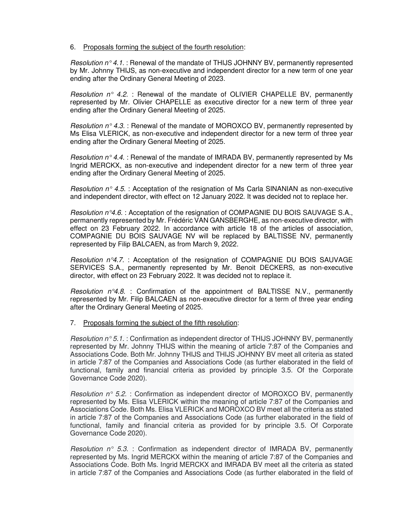# 6. Proposals forming the subject of the fourth resolution:

Resolution  $n^{\circ}$  4.1. : Renewal of the mandate of THIJS JOHNNY BV, permanently represented by Mr. Johnny THIJS, as non-executive and independent director for a new term of one year ending after the Ordinary General Meeting of 2023.

Resolution  $n^{\circ}$  4.2. : Renewal of the mandate of OLIVIER CHAPELLE BV, permanently represented by Mr. Olivier CHAPELLE as executive director for a new term of three year ending after the Ordinary General Meeting of 2025.

Resolution  $n \circ 4.3$ . : Renewal of the mandate of MOROXCO BV, permanently represented by Ms Elisa VLERICK, as non-executive and independent director for a new term of three year ending after the Ordinary General Meeting of 2025.

Resolution  $n^{\circ}$  4.4. : Renewal of the mandate of IMRADA BV, permanently represented by Ms Ingrid MERCKX, as non-executive and independent director for a new term of three year ending after the Ordinary General Meeting of 2025.

Resolution  $n^{\circ}$  4.5. : Acceptation of the resignation of Ms Carla SINANIAN as non-executive and independent director, with effect on 12 January 2022. It was decided not to replace her.

Resolution  $n^{\circ}4.6$ . : Acceptation of the resignation of COMPAGNIE DU BOIS SAUVAGE S.A., permanently represented by Mr. Frédéric VAN GANSBERGHE, as non-executive director, with effect on 23 February 2022. In accordance with article 18 of the articles of association, COMPAGNIE DU BOIS SAUVAGE NV will be replaced by BALTISSE NV, permanently represented by Filip BALCAEN, as from March 9, 2022.

Resolution  $n^{\circ}4.7.$ : Acceptation of the resignation of COMPAGNIE DU BOIS SAUVAGE SERVICES S.A., permanently represented by Mr. Benoit DECKERS, as non-executive director, with effect on 23 February 2022. It was decided not to replace it.

Resolution  $n^{\circ}4.8$ . : Confirmation of the appointment of BALTISSE N.V., permanently represented by Mr. Filip BALCAEN as non-executive director for a term of three year ending after the Ordinary General Meeting of 2025.

## 7. Proposals forming the subject of the fifth resolution:

Resolution  $n^{\circ}$  5.1. : Confirmation as independent director of THIJS JOHNNY BV, permanently represented by Mr. Johnny THIJS within the meaning of article 7:87 of the Companies and Associations Code. Both Mr. Johnny THIJS and THIJS JOHNNY BV meet all criteria as stated in article 7:87 of the Companies and Associations Code (as further elaborated in the field of functional, family and financial criteria as provided by principle 3.5. Of the Corporate Governance Code 2020).

Resolution  $n^{\circ}$  5.2. : Confirmation as independent director of MOROXCO BV, permanently represented by Ms. Elisa VLERICK within the meaning of article 7:87 of the Companies and Associations Code. Both Ms. Elisa VLERICK and MOROXCO BV meet all the criteria as stated in article 7:87 of the Companies and Associations Code (as further elaborated in the field of functional, family and financial criteria as provided for by principle 3.5. Of Corporate Governance Code 2020).

Resolution  $n^{\circ}$  5.3. : Confirmation as independent director of IMRADA BV, permanently represented by Ms. Ingrid MERCKX within the meaning of article 7:87 of the Companies and Associations Code. Both Ms. Ingrid MERCKX and IMRADA BV meet all the criteria as stated in article 7:87 of the Companies and Associations Code (as further elaborated in the field of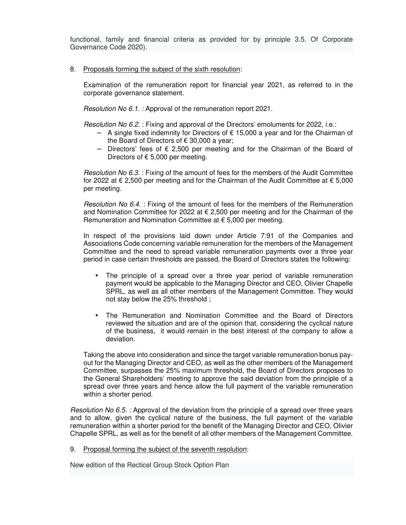functional, family and financial criteria as provided for by principle 3.5. Of Corporate Governance Code 2020).

## 8. Proposals forming the subject of the sixth resolution:

 Examination of the remuneration report for financial year 2021, as referred to in the corporate governance statement.

Resolution No 6.1. : Approval of the remuneration report 2021.

Resolution No 6.2. : Fixing and approval of the Directors' emoluments for 2022, i.e.:

- − A single fixed indemnity for Directors of € 15,000 a year and for the Chairman of the Board of Directors of  $\epsilon$  30,000 a year;
- − Directors' fees of € 2,500 per meeting and for the Chairman of the Board of Directors of  $\epsilon$  5,000 per meeting.

Resolution No 6.3. : Fixing of the amount of fees for the members of the Audit Committee for 2022 at  $\epsilon$  2,500 per meeting and for the Chairman of the Audit Committee at  $\epsilon$  5,000 per meeting.

Resolution No 6.4. : Fixing of the amount of fees for the members of the Remuneration and Nomination Committee for 2022 at  $\epsilon$  2,500 per meeting and for the Chairman of the Remuneration and Nomination Committee at € 5,000 per meeting.

 In respect of the provisions laid down under Article 7:91 of the Companies and Associations Code concerning variable remuneration for the members of the Management Committee and the need to spread variable remuneration payments over a three year period in case certain thresholds are passed, the Board of Directors states the following:

- The principle of a spread over a three year period of variable remuneration payment would be applicable to the Managing Director and CEO, Olivier Chapelle SPRL, as well as all other members of the Management Committee. They would not stay below the 25% threshold ;
- The Remuneration and Nomination Committee and the Board of Directors reviewed the situation and are of the opinion that, considering the cyclical nature of the business, it would remain in the best interest of the company to allow a deviation.

Taking the above into consideration and since the target variable remuneration bonus payout for the Managing Director and CEO, as well as the other members of the Management Committee, surpasses the 25% maximum threshold, the Board of Directors proposes to the General Shareholders' meeting to approve the said deviation from the principle of a spread over three years and hence allow the full payment of the variable remuneration within a shorter period.

Resolution No 6.5. : Approval of the deviation from the principle of a spread over three years and to allow, given the cyclical nature of the business, the full payment of the variable remuneration within a shorter period for the benefit of the Managing Director and CEO, Olivier Chapelle SPRL, as well as for the benefit of all other members of the Management Committee.

9. Proposal forming the subject of the seventh resolution:

New edition of the Recticel Group Stock Option Plan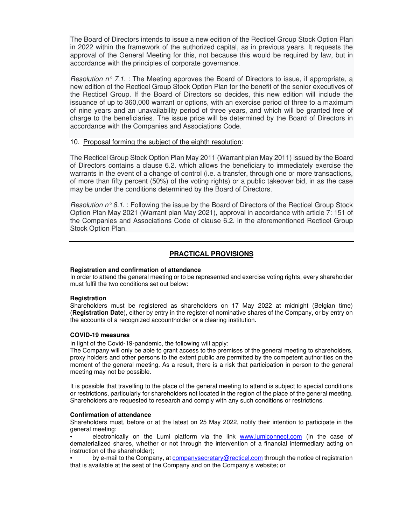The Board of Directors intends to issue a new edition of the Recticel Group Stock Option Plan in 2022 within the framework of the authorized capital, as in previous years. It requests the approval of the General Meeting for this, not because this would be required by law, but in accordance with the principles of corporate governance.

*Resolution n° 7.1.* The Meeting approves the Board of Directors to issue, if appropriate, a new edition of the Recticel Group Stock Option Plan for the benefit of the senior executives of the Recticel Group. If the Board of Directors so decides, this new edition will include the issuance of up to 360,000 warrant or options, with an exercise period of three to a maximum of nine years and an unavailability period of three years, and which will be granted free of charge to the beneficiaries. The issue price will be determined by the Board of Directors in accordance with the Companies and Associations Code.

#### 10. Proposal forming the subject of the eighth resolution:

The Recticel Group Stock Option Plan May 2011 (Warrant plan May 2011) issued by the Board of Directors contains a clause 6.2. which allows the beneficiary to immediately exercise the warrants in the event of a change of control (i.e. a transfer, through one or more transactions, of more than fifty percent (50%) of the voting rights) or a public takeover bid, in as the case may be under the conditions determined by the Board of Directors.

Resolution  $n^{\circ}$  8.1. : Following the issue by the Board of Directors of the Recticel Group Stock Option Plan May 2021 (Warrant plan May 2021), approval in accordance with article 7: 151 of the Companies and Associations Code of clause 6.2. in the aforementioned Recticel Group Stock Option Plan.

## **PRACTICAL PROVISIONS**

#### **Registration and confirmation of attendance**

In order to attend the general meeting or to be represented and exercise voting rights, every shareholder must fulfil the two conditions set out below:

#### **Registration**

Shareholders must be registered as shareholders on 17 May 2022 at midnight (Belgian time) (**Registration Date**), either by entry in the register of nominative shares of the Company, or by entry on the accounts of a recognized accountholder or a clearing institution.

#### **COVID-19 measures**

In light of the Covid-19-pandemic, the following will apply:

The Company will only be able to grant access to the premises of the general meeting to shareholders, proxy holders and other persons to the extent public are permitted by the competent authorities on the moment of the general meeting. As a result, there is a risk that participation in person to the general meeting may not be possible.

It is possible that travelling to the place of the general meeting to attend is subject to special conditions or restrictions, particularly for shareholders not located in the region of the place of the general meeting. Shareholders are requested to research and comply with any such conditions or restrictions.

#### **Confirmation of attendance**

Shareholders must, before or at the latest on 25 May 2022, notify their intention to participate in the general meeting:

electronically on the Lumi platform via the link www.lumiconnect.com (in the case of dematerialized shares, whether or not through the intervention of a financial intermediary acting on instruction of the shareholder);

• by e-mail to the Company, at companysecretary@recticel.com through the notice of registration that is available at the seat of the Company and on the Company's website; or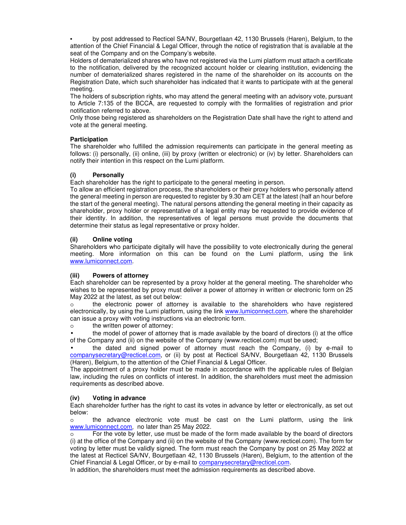• by post addressed to Recticel SA/NV, Bourgetlaan 42, 1130 Brussels (Haren), Belgium, to the attention of the Chief Financial & Legal Officer, through the notice of registration that is available at the seat of the Company and on the Company's website.

Holders of dematerialized shares who have not registered via the Lumi platform must attach a certificate to the notification, delivered by the recognized account holder or clearing institution, evidencing the number of dematerialized shares registered in the name of the shareholder on its accounts on the Registration Date, which such shareholder has indicated that it wants to participate with at the general meeting.

The holders of subscription rights, who may attend the general meeting with an advisory vote, pursuant to Article 7:135 of the BCCA, are requested to comply with the formalities of registration and prior notification referred to above.

Only those being registered as shareholders on the Registration Date shall have the right to attend and vote at the general meeting.

#### **Participation**

The shareholder who fulfilled the admission requirements can participate in the general meeting as follows: (i) personally, (ii) online, (iii) by proxy (written or electronic) or (iv) by letter. Shareholders can notify their intention in this respect on the Lumi platform.

#### **(i) Personally**

Each shareholder has the right to participate to the general meeting in person.

To allow an efficient registration process, the shareholders or their proxy holders who personally attend the general meeting in person are requested to register by 9.30 am CET at the latest (half an hour before the start of the general meeting). The natural persons attending the general meeting in their capacity as shareholder, proxy holder or representative of a legal entity may be requested to provide evidence of their identity. In addition, the representatives of legal persons must provide the documents that determine their status as legal representative or proxy holder.

#### **(ii) Online voting**

Shareholders who participate digitally will have the possibility to vote electronically during the general meeting. More information on this can be found on the Lumi platform, using the link www.lumiconnect.com.

#### **(iii) Powers of attorney**

Each shareholder can be represented by a proxy holder at the general meeting. The shareholder who wishes to be represented by proxy must deliver a power of attorney in written or electronic form on 25 May 2022 at the latest, as set out below:

o the electronic power of attorney is available to the shareholders who have registered electronically, by using the Lumi platform, using the link www.lumiconnect.com, where the shareholder can issue a proxy with voting instructions via an electronic form.

o the written power of attorney:

• the model of power of attorney that is made available by the board of directors (i) at the office of the Company and (ii) on the website of the Company (www.recticel.com) must be used;

• the dated and signed power of attorney must reach the Company, (i) by e-mail to companysecretary@recticel.com, or (ii) by post at Recticel SA/NV, Bourgetlaan 42, 1130 Brussels (Haren), Belgium, to the attention of the Chief Financial & Legal Officer.

The appointment of a proxy holder must be made in accordance with the applicable rules of Belgian law, including the rules on conflicts of interest. In addition, the shareholders must meet the admission requirements as described above.

## **(iv) Voting in advance**

Each shareholder further has the right to cast its votes in advance by letter or electronically, as set out below:

o the advance electronic vote must be cast on the Lumi platform, using the link www.lumiconnect.com, no later than 25 May 2022.

o For the vote by letter, use must be made of the form made available by the board of directors (i) at the office of the Company and (ii) on the website of the Company (www.recticel.com). The form for voting by letter must be validly signed. The form must reach the Company by post on 25 May 2022 at the latest at Recticel SA/NV, Bourgetlaan 42, 1130 Brussels (Haren), Belgium, to the attention of the Chief Financial & Legal Officer, or by e-mail to companysecretary@recticel.com.

In addition, the shareholders must meet the admission requirements as described above.